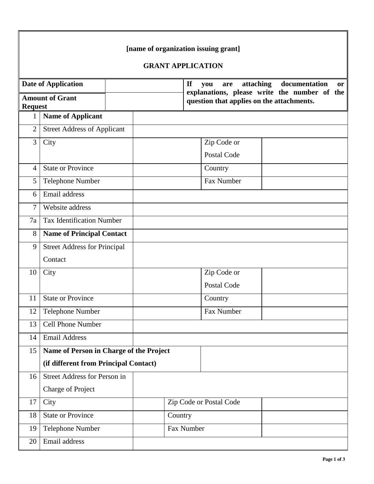|                                          |                                         |         | [name of organization issuing grant]                                                      |  |  |  |  |  |  |
|------------------------------------------|-----------------------------------------|---------|-------------------------------------------------------------------------------------------|--|--|--|--|--|--|
| <b>GRANT APPLICATION</b>                 |                                         |         |                                                                                           |  |  |  |  |  |  |
|                                          | <b>Date of Application</b>              |         | <b>If</b><br>attaching<br>documentation<br>you<br>are<br><b>or</b>                        |  |  |  |  |  |  |
| <b>Amount of Grant</b><br><b>Request</b> |                                         |         | explanations, please write the number of the<br>question that applies on the attachments. |  |  |  |  |  |  |
| 1                                        | <b>Name of Applicant</b>                |         |                                                                                           |  |  |  |  |  |  |
| $\overline{2}$                           | <b>Street Address of Applicant</b>      |         |                                                                                           |  |  |  |  |  |  |
| 3                                        | City                                    |         | Zip Code or                                                                               |  |  |  |  |  |  |
|                                          |                                         |         | Postal Code                                                                               |  |  |  |  |  |  |
| $\overline{4}$                           | <b>State or Province</b>                |         | Country                                                                                   |  |  |  |  |  |  |
| 5                                        | <b>Telephone Number</b>                 |         | Fax Number                                                                                |  |  |  |  |  |  |
| 6                                        | Email address                           |         |                                                                                           |  |  |  |  |  |  |
| $\overline{7}$                           | Website address                         |         |                                                                                           |  |  |  |  |  |  |
| 7a                                       | <b>Tax Identification Number</b>        |         |                                                                                           |  |  |  |  |  |  |
| 8                                        | <b>Name of Principal Contact</b>        |         |                                                                                           |  |  |  |  |  |  |
| 9                                        | <b>Street Address for Principal</b>     |         |                                                                                           |  |  |  |  |  |  |
|                                          | Contact                                 |         |                                                                                           |  |  |  |  |  |  |
| 10                                       | City                                    |         | Zip Code or                                                                               |  |  |  |  |  |  |
|                                          |                                         |         | Postal Code                                                                               |  |  |  |  |  |  |
| 11                                       | <b>State or Province</b>                |         | Country                                                                                   |  |  |  |  |  |  |
| 12                                       | <b>Telephone Number</b>                 |         | Fax Number                                                                                |  |  |  |  |  |  |
| 13                                       | <b>Cell Phone Number</b>                |         |                                                                                           |  |  |  |  |  |  |
| 14                                       | <b>Email Address</b>                    |         |                                                                                           |  |  |  |  |  |  |
| 15                                       | Name of Person in Charge of the Project |         |                                                                                           |  |  |  |  |  |  |
|                                          | (if different from Principal Contact)   |         |                                                                                           |  |  |  |  |  |  |
| 16                                       | Street Address for Person in            |         |                                                                                           |  |  |  |  |  |  |
|                                          | <b>Charge of Project</b>                |         |                                                                                           |  |  |  |  |  |  |
| 17                                       | City                                    |         | Zip Code or Postal Code                                                                   |  |  |  |  |  |  |
| 18                                       | <b>State or Province</b>                | Country |                                                                                           |  |  |  |  |  |  |
| 19                                       | Telephone Number                        |         | Fax Number                                                                                |  |  |  |  |  |  |
| 20                                       | Email address                           |         |                                                                                           |  |  |  |  |  |  |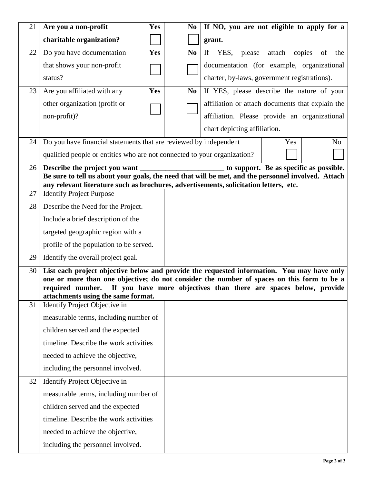| 21 | Are you a non-profit                                                                                                                                                                        | <b>Yes</b> | N <sub>0</sub>        | If NO, you are not eligible to apply for a                                                 |  |  |  |  |
|----|---------------------------------------------------------------------------------------------------------------------------------------------------------------------------------------------|------------|-----------------------|--------------------------------------------------------------------------------------------|--|--|--|--|
|    | charitable organization?                                                                                                                                                                    |            |                       | grant.                                                                                     |  |  |  |  |
| 22 | Do you have documentation                                                                                                                                                                   | Yes        | N <sub>0</sub>        | If YES, please attach copies<br>of<br>the                                                  |  |  |  |  |
|    | that shows your non-profit                                                                                                                                                                  |            |                       | documentation (for example, organizational                                                 |  |  |  |  |
|    | status?                                                                                                                                                                                     |            |                       | charter, by-laws, government registrations).                                               |  |  |  |  |
| 23 | Are you affiliated with any                                                                                                                                                                 | Yes        | N <sub>0</sub>        | If YES, please describe the nature of your                                                 |  |  |  |  |
|    | other organization (profit or                                                                                                                                                               |            |                       | affiliation or attach documents that explain the                                           |  |  |  |  |
|    | non-profit)?                                                                                                                                                                                |            |                       | affiliation. Please provide an organizational                                              |  |  |  |  |
|    |                                                                                                                                                                                             |            |                       | chart depicting affiliation.                                                               |  |  |  |  |
| 24 | Do you have financial statements that are reviewed by independent                                                                                                                           |            | N <sub>0</sub><br>Yes |                                                                                            |  |  |  |  |
|    | qualified people or entities who are not connected to your organization?                                                                                                                    |            |                       |                                                                                            |  |  |  |  |
| 26 | Describe the project you want                                                                                                                                                               |            |                       | to support. Be as specific as possible.                                                    |  |  |  |  |
|    | Be sure to tell us about your goals, the need that will be met, and the personnel involved. Attach<br>any relevant literature such as brochures, advertisements, solicitation letters, etc. |            |                       |                                                                                            |  |  |  |  |
| 27 | <b>Identify Project Purpose</b>                                                                                                                                                             |            |                       |                                                                                            |  |  |  |  |
| 28 | Describe the Need for the Project.                                                                                                                                                          |            |                       |                                                                                            |  |  |  |  |
|    | Include a brief description of the                                                                                                                                                          |            |                       |                                                                                            |  |  |  |  |
|    | targeted geographic region with a                                                                                                                                                           |            |                       |                                                                                            |  |  |  |  |
|    | profile of the population to be served.                                                                                                                                                     |            |                       |                                                                                            |  |  |  |  |
| 29 | Identify the overall project goal.                                                                                                                                                          |            |                       |                                                                                            |  |  |  |  |
| 30 |                                                                                                                                                                                             |            |                       | List each project objective below and provide the requested information. You may have only |  |  |  |  |
|    | one or more than one objective; do not consider the number of spaces on this form to be a<br>required number. If you have more objectives than there are spaces below, provide              |            |                       |                                                                                            |  |  |  |  |
|    | attachments using the same format.                                                                                                                                                          |            |                       |                                                                                            |  |  |  |  |
| 31 | Identify Project Objective in                                                                                                                                                               |            |                       |                                                                                            |  |  |  |  |
|    | measurable terms, including number of                                                                                                                                                       |            |                       |                                                                                            |  |  |  |  |
|    | children served and the expected                                                                                                                                                            |            |                       |                                                                                            |  |  |  |  |
|    | timeline. Describe the work activities                                                                                                                                                      |            |                       |                                                                                            |  |  |  |  |
|    | needed to achieve the objective,                                                                                                                                                            |            |                       |                                                                                            |  |  |  |  |
|    | including the personnel involved.                                                                                                                                                           |            |                       |                                                                                            |  |  |  |  |
| 32 | Identify Project Objective in                                                                                                                                                               |            |                       |                                                                                            |  |  |  |  |
|    | measurable terms, including number of                                                                                                                                                       |            |                       |                                                                                            |  |  |  |  |
|    | children served and the expected                                                                                                                                                            |            |                       |                                                                                            |  |  |  |  |
|    | timeline. Describe the work activities                                                                                                                                                      |            |                       |                                                                                            |  |  |  |  |
|    | needed to achieve the objective,                                                                                                                                                            |            |                       |                                                                                            |  |  |  |  |
|    | including the personnel involved.                                                                                                                                                           |            |                       |                                                                                            |  |  |  |  |